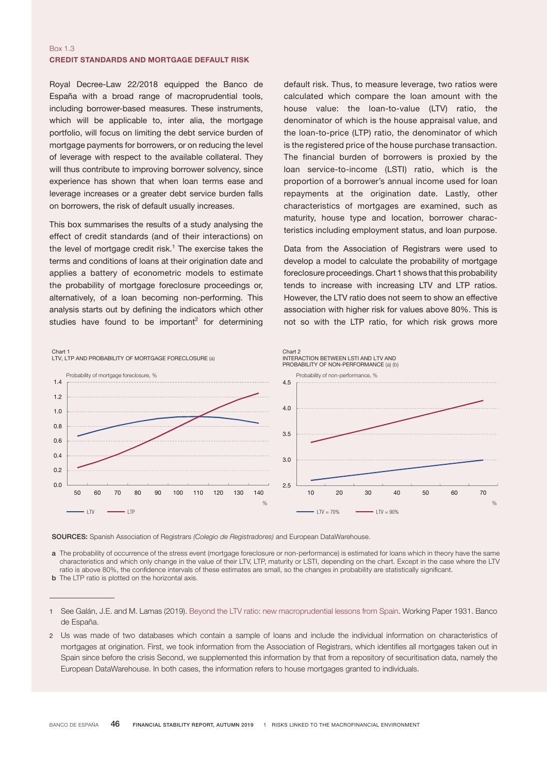## Box 1.3 CREDIT STANDARDS AND MORTGAGE DEFAULT RISK

Royal Decree-Law 22/2018 equipped the Banco de España with a broad range of macroprudential tools, including borrower-based measures. These instruments, which will be applicable to, inter alia, the mortgage portfolio, will focus on limiting the debt service burden of mortgage payments for borrowers, or on reducing the level of leverage with respect to the available collateral. They will thus contribute to improving borrower solvency, since experience has shown that when loan terms ease and leverage increases or a greater debt service burden falls on borrowers, the risk of default usually increases.

This box summarises the results of a study analysing the effect of credit standards (and of their interactions) on the level of mortgage credit risk. $1$  The exercise takes the terms and conditions of loans at their origination date and applies a battery of econometric models to estimate the probability of mortgage foreclosure proceedings or, alternatively, of a loan becoming non-performing. This % analysis starts out by defining the indicators which other studies have found to be important<sup>2</sup> for determining 50 60 70 80 90 100 110 120 130 140

default risk. Thus, to measure leverage, two ratios were calculated which compare the loan amount with the house value: the loan-to-value (LTV) ratio, the denominator of which is the house appraisal value, and the loan-to-price (LTP) ratio, the denominator of which is the registered price of the house purchase transaction. The financial burden of borrowers is proxied by the loan service-to-income (LSTI) ratio, which is the proportion of a borrower's annual income used for loan repayments at the origination date. Lastly, other characteristics of mortgages are examined, such as maturity, house type and location, borrower characteristics including employment status, and loan purpose.  $P^2$  between to modified

Data from the Association of Registrars were used to develop a model to calculate the probability of mortgage foreclosure proceedings. Chart 1 shows that this probability tends to increase with increasing LTV and LTP ratios. However, the LTV ratio does not seem to show an effective association with higher risk for values above 80%. This is not so with the LTP ratio, for which risk grows more  $\overline{a}$ 



**SOURCES:** Spanish Association of Registrars *(Colegio de Registradores)* and European DataWarehouse.

of loans for house purchase and renovation. The last year of this sample is 2017.

a The probability of occurrence of the stress event (mortgage foreclosure or non-performance) is estimated for loans which in theory have the same ratio is above 80%, the confidence intervals of these estimates are small, so the changes in probability are statistically significant. characteristics and which only change in the value of their LTV, LTP, maturity or LSTI, depending on the chart. Except in the case where the LTV

b The LTP ratio is plotted on the horizontal axis. c The index expresses the risk of new mortgage lending having regard to the volume of credit granted and to credit standards. The NPL ratio is that

1 See Galán, J.E. and M. Lamas (2019). [Beyond the LTV ratio:](https://www.bde.es/f/webbde/SES/Secciones/Publicaciones/PublicacionesSeriadas/DocumentosTrabajo/19/Fich/dt1931e.pdf) [new macroprudential lessons from Spain.](https://www.bde.es/f/webbde/SES/Secciones/Publicaciones/PublicacionesSeriadas/DocumentosTrabajo/19/Fich/dt1931e.pdf) Working Paper 1931. Banco de España.  $\overline{\phantom{a}}$ nacropruderitiai lessoris from Spain. Vvorking Paper 1951. Banco

2 Us was made of two databases which contain a sample of loans and include the individual information on characteristics of mortgages at origination. First, we took information from the Association of Registrars, which identifies all mortgages taken out in 0.4 Spain since before the crisis Second, we supplemented this information by that from a repository of securitisation data, namely the European DataWarehouse. In both cases, the information refers to house mortgages granted to individuals. 50 200 million and the community of the community of the community of the community of the community of the community of the community of the community of the community of the community of the community of the community of th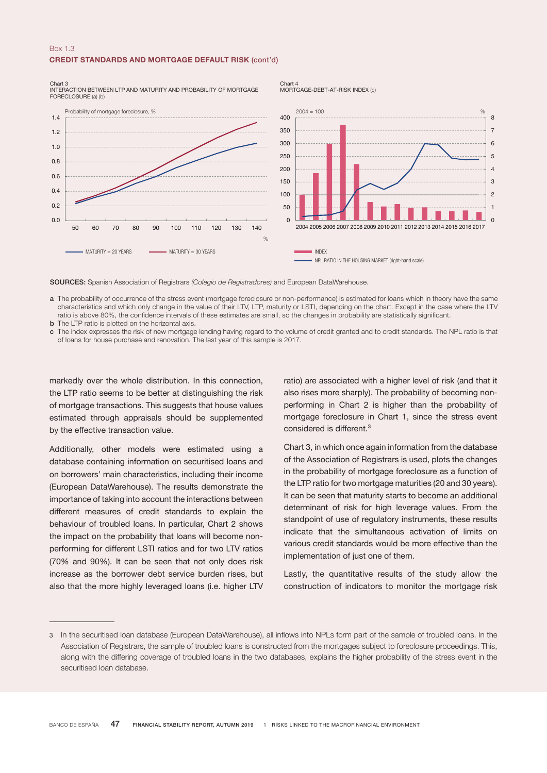## Box 1.3 CREDIT STANDARDS AND MORTGAGE DEFAULT RISK (cont'd)



SOURCES: Spanish Association of Registrars *(Colegio de Registradores)* and European DataWarehouse.

a The probability of occurrence of the stress event (mortgage foreclosure or non-performance) is estimated for loans which in theory have the same characteristics and which only change in the value of their LTV, LTP, maturity or LSTI, depending on the chart. Except in the case where the LTV ratio is above 80%, the confidence intervals of these estimates are small, so the changes in probability are statistically significant.

**b** The LTP ratio is plotted on the horizontal axis.

c The index expresses the risk of new mortgage lending having regard to the volume of credit granted and to credit standards. The NPL ratio is that of loans for house purchase and renovation. The last year of this sample is 2017.

markedly over the whole distribution. In this connection, the LTP ratio seems to be better at distinguishing the risk of mortgage transactions. This suggests that house values estimated through appraisals should be supplemented by the effective transaction value.

Additionally, other models were estimated using a database containing information on securitised loans and on borrowers' main characteristics, including their income (European DataWarehouse). The results demonstrate the importance of taking into account the interactions between different measures of credit standards to explain the behaviour of troubled loans. In particular, Chart 2 shows the impact on the probability that loans will become nonperforming for different LSTI ratios and for two LTV ratios (70% and 90%). It can be seen that not only does risk increase as the borrower debt service burden rises, but also that the more highly leveraged loans (i.e. higher LTV

ratio) are associated with a higher level of risk (and that it also rises more sharply). The probability of becoming nonperforming in Chart 2 is higher than the probability of mortgage foreclosure in Chart 1, since the stress event considered is different.<sup>3</sup>

Chart 3, in which once again information from the database of the Association of Registrars is used, plots the changes in the probability of mortgage foreclosure as a function of the LTP ratio for two mortgage maturities (20 and 30 years). It can be seen that maturity starts to become an additional determinant of risk for high leverage values. From the standpoint of use of regulatory instruments, these results indicate that the simultaneous activation of limits on various credit standards would be more effective than the implementation of just one of them.

Lastly, the quantitative results of the study allow the construction of indicators to monitor the mortgage risk

<sup>3</sup> In the securitised loan database (European DataWarehouse), all inflows into NPLs form part of the sample of troubled loans. In the Association of Registrars, the sample of troubled loans is constructed from the mortgages subject to foreclosure proceedings. This, along with the differing coverage of troubled loans in the two databases, explains the higher probability of the stress event in the securitised loan database.